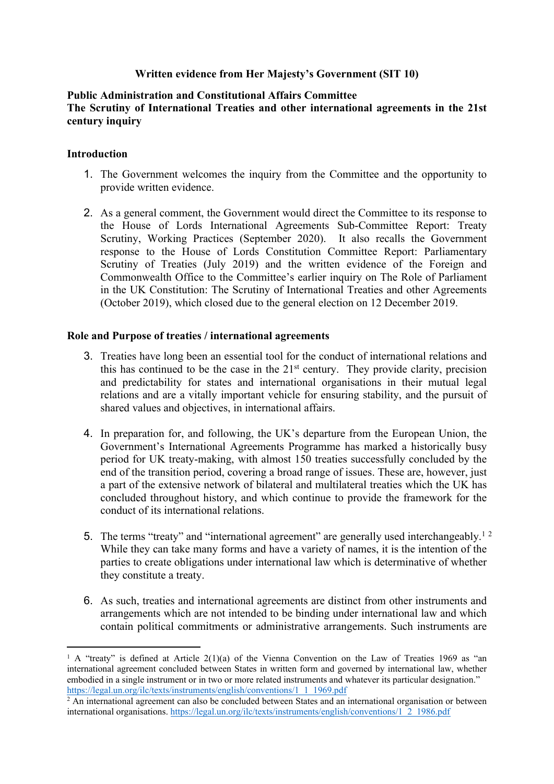# **Written evidence from Her Majesty's Government (SIT 10)**

## **Public Administration and Constitutional Affairs Committee The Scrutiny of International Treaties and other international agreements in the 21st century inquiry**

#### **Introduction**

- 1. The Government welcomes the inquiry from the Committee and the opportunity to provide written evidence.
- 2. As a general comment, the Government would direct the Committee to its response to the House of Lords International Agreements Sub-Committee Report: Treaty Scrutiny, Working Practices (September 2020). It also recalls the Government response to the House of Lords Constitution Committee Report: Parliamentary Scrutiny of Treaties (July 2019) and the written evidence of the Foreign and Commonwealth Office to the Committee's earlier inquiry on The Role of Parliament in the UK Constitution: The Scrutiny of International Treaties and other Agreements (October 2019), which closed due to the general election on 12 December 2019.

#### **Role and Purpose of treaties / international agreements**

- 3. Treaties have long been an essential tool for the conduct of international relations and this has continued to be the case in the 21st century. They provide clarity, precision and predictability for states and international organisations in their mutual legal relations and are a vitally important vehicle for ensuring stability, and the pursuit of shared values and objectives, in international affairs.
- 4. In preparation for, and following, the UK's departure from the European Union, the Government's International Agreements Programme has marked a historically busy period for UK treaty-making, with almost 150 treaties successfully concluded by the end of the transition period, covering a broad range of issues. These are, however, just a part of the extensive network of bilateral and multilateral treaties which the UK has concluded throughout history, and which continue to provide the framework for the conduct of its international relations.
- 5. The terms "treaty" and "international agreement" are generally used interchangeably.<sup>12</sup> While they can take many forms and have a variety of names, it is the intention of the parties to create obligations under international law which is determinative of whether they constitute a treaty.
- 6. As such, treaties and international agreements are distinct from other instruments and arrangements which are not intended to be binding under international law and which contain political commitments or administrative arrangements. Such instruments are

<sup>&</sup>lt;sup>1</sup> A "treaty" is defined at Article 2(1)(a) of the Vienna Convention on the Law of Treaties 1969 as "an international agreement concluded between States in written form and governed by international law, whether embodied in a single instrument or in two or more related instruments and whatever its particular designation." [https://legal.un.org/ilc/texts/instruments/english/conventions/1\\_1\\_1969.pdf](https://legal.un.org/ilc/texts/instruments/english/conventions/1_1_1969.pdf) 

<sup>2</sup> An international agreement can also be concluded between States and an international organisation or between international organisations. [https://legal.un.org/ilc/texts/instruments/english/conventions/1\\_2\\_1986.pdf](https://legal.un.org/ilc/texts/instruments/english/conventions/1_2_1986.pdf)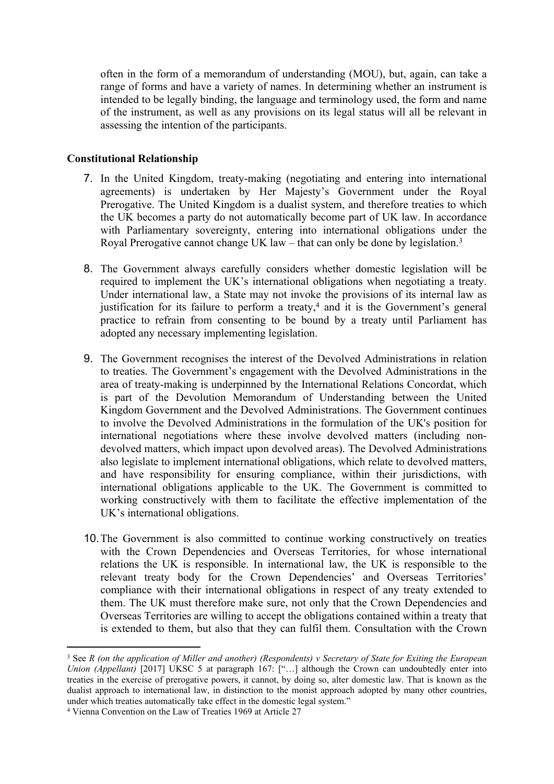often in the form of a memorandum of understanding (MOU), but, again, can take a range of forms and have a variety of names. In determining whether an instrument is intended to be legally binding, the language and terminology used, the form and name of the instrument, as well as any provisions on its legal status will all be relevant in assessing the intention of the participants.

## **Constitutional Relationship**

- 7. In the United Kingdom, treaty-making (negotiating and entering into international agreements) is undertaken by Her Majesty's Government under the Royal Prerogative. The United Kingdom is a dualist system, and therefore treaties to which the UK becomes a party do not automatically become part of UK law. In accordance with Parliamentary sovereignty, entering into international obligations under the Royal Prerogative cannot change UK law – that can only be done by legislation.<sup>3</sup>
- 8. The Government always carefully considers whether domestic legislation will be required to implement the UK's international obligations when negotiating a treaty. Under international law, a State may not invoke the provisions of its internal law as justification for its failure to perform a treaty,<sup>4</sup> and it is the Government's general practice to refrain from consenting to be bound by a treaty until Parliament has adopted any necessary implementing legislation.
- 9. The Government recognises the interest of the Devolved Administrations in relation to treaties. The Government's engagement with the Devolved Administrations in the area of treaty-making is underpinned by the International Relations Concordat, which is part of the Devolution Memorandum of Understanding between the United Kingdom Government and the Devolved Administrations. The Government continues to involve the Devolved Administrations in the formulation of the UK's position for international negotiations where these involve devolved matters (including nondevolved matters, which impact upon devolved areas). The Devolved Administrations also legislate to implement international obligations, which relate to devolved matters, and have responsibility for ensuring compliance, within their jurisdictions, with international obligations applicable to the UK. The Government is committed to working constructively with them to facilitate the effective implementation of the UK's international obligations.
- 10.The Government is also committed to continue working constructively on treaties with the Crown Dependencies and Overseas Territories, for whose international relations the UK is responsible. In international law, the UK is responsible to the relevant treaty body for the Crown Dependencies' and Overseas Territories' compliance with their international obligations in respect of any treaty extended to them. The UK must therefore make sure, not only that the Crown Dependencies and Overseas Territories are willing to accept the obligations contained within a treaty that is extended to them, but also that they can fulfil them. Consultation with the Crown

<sup>&</sup>lt;sup>3</sup> See R (on the application of Miller and another) (Respondents) v Secretary of State for Exiting the European *Union (Appellant)* [2017] UKSC 5 at paragraph 167: ["…] although the Crown can undoubtedly enter into treaties in the exercise of prerogative powers, it cannot, by doing so, alter domestic law. That is known as the dualist approach to international law, in distinction to the monist approach adopted by many other countries, under which treaties automatically take effect in the domestic legal system."

<sup>4</sup> Vienna Convention on the Law of Treaties 1969 at Article 27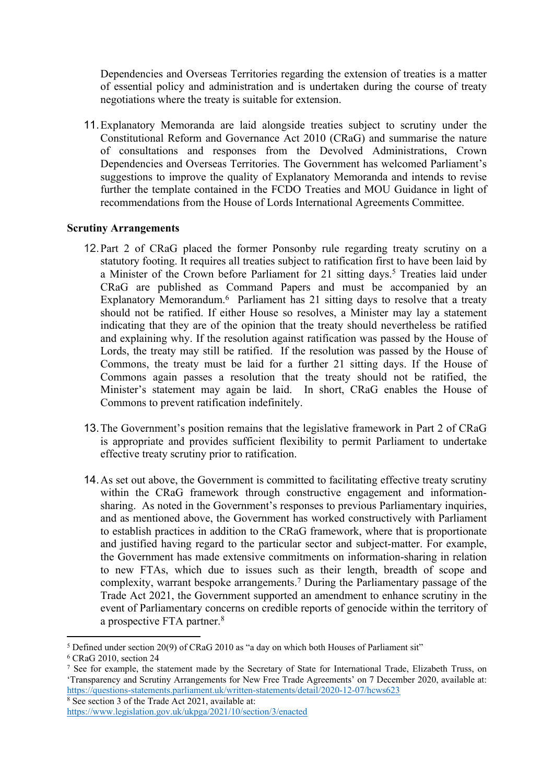Dependencies and Overseas Territories regarding the extension of treaties is a matter of essential policy and administration and is undertaken during the course of treaty negotiations where the treaty is suitable for extension.

11.Explanatory Memoranda are laid alongside treaties subject to scrutiny under the Constitutional Reform and Governance Act 2010 (CRaG) and summarise the nature of consultations and responses from the Devolved Administrations, Crown Dependencies and Overseas Territories. The Government has welcomed Parliament's suggestions to improve the quality of Explanatory Memoranda and intends to revise further the template contained in the FCDO Treaties and MOU Guidance in light of recommendations from the House of Lords International Agreements Committee.

## **Scrutiny Arrangements**

- 12.Part 2 of CRaG placed the former Ponsonby rule regarding treaty scrutiny on a statutory footing. It requires all treaties subject to ratification first to have been laid by a Minister of the Crown before Parliament for 21 sitting days.<sup>5</sup> Treaties laid under CRaG are published as Command Papers and must be accompanied by an Explanatory Memorandum.<sup>6</sup> Parliament has 21 sitting days to resolve that a treaty should not be ratified. If either House so resolves, a Minister may lay a statement indicating that they are of the opinion that the treaty should nevertheless be ratified and explaining why. If the resolution against ratification was passed by the House of Lords, the treaty may still be ratified. If the resolution was passed by the House of Commons, the treaty must be laid for a further 21 sitting days. If the House of Commons again passes a resolution that the treaty should not be ratified, the Minister's statement may again be laid. In short, CRaG enables the House of Commons to prevent ratification indefinitely.
- 13.The Government's position remains that the legislative framework in Part 2 of CRaG is appropriate and provides sufficient flexibility to permit Parliament to undertake effective treaty scrutiny prior to ratification.
- 14.As set out above, the Government is committed to facilitating effective treaty scrutiny within the CRaG framework through constructive engagement and informationsharing. As noted in the Government's responses to previous Parliamentary inquiries, and as mentioned above, the Government has worked constructively with Parliament to establish practices in addition to the CRaG framework, where that is proportionate and justified having regard to the particular sector and subject-matter. For example, the Government has made extensive commitments on information-sharing in relation to new FTAs, which due to issues such as their length, breadth of scope and complexity, warrant bespoke arrangements.<sup>7</sup> During the Parliamentary passage of the Trade Act 2021, the Government supported an amendment to enhance scrutiny in the event of Parliamentary concerns on credible reports of genocide within the territory of a prospective FTA partner.<sup>8</sup>

<sup>5</sup> Defined under section 20(9) of CRaG 2010 as "a day on which both Houses of Parliament sit"

 $6$  CRaG 2010, section 24

<sup>7</sup> See for example, the statement made by the Secretary of State for International Trade, Elizabeth Truss, on 'Transparency and Scrutiny Arrangements for New Free Trade Agreements' on 7 December 2020, available at: <https://questions-statements.parliament.uk/written-statements/detail/2020-12-07/hcws623>

<sup>&</sup>lt;sup>8</sup> See section 3 of the Trade Act 2021, available at: <https://www.legislation.gov.uk/ukpga/2021/10/section/3/enacted>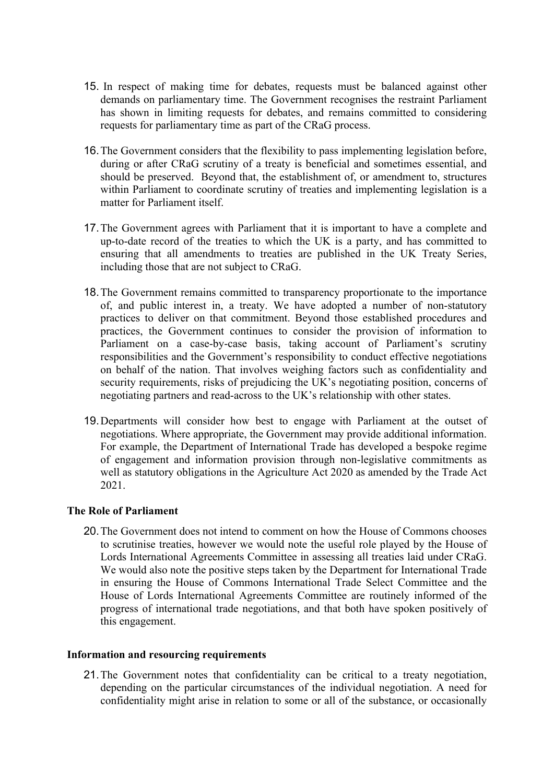- 15. In respect of making time for debates, requests must be balanced against other demands on parliamentary time. The Government recognises the restraint Parliament has shown in limiting requests for debates, and remains committed to considering requests for parliamentary time as part of the CRaG process.
- 16.The Government considers that the flexibility to pass implementing legislation before, during or after CRaG scrutiny of a treaty is beneficial and sometimes essential, and should be preserved. Beyond that, the establishment of, or amendment to, structures within Parliament to coordinate scrutiny of treaties and implementing legislation is a matter for Parliament itself.
- 17.The Government agrees with Parliament that it is important to have a complete and up-to-date record of the treaties to which the UK is a party, and has committed to ensuring that all amendments to treaties are published in the UK Treaty Series, including those that are not subject to CRaG.
- 18.The Government remains committed to transparency proportionate to the importance of, and public interest in, a treaty. We have adopted a number of non-statutory practices to deliver on that commitment. Beyond those established procedures and practices, the Government continues to consider the provision of information to Parliament on a case-by-case basis, taking account of Parliament's scrutiny responsibilities and the Government's responsibility to conduct effective negotiations on behalf of the nation. That involves weighing factors such as confidentiality and security requirements, risks of prejudicing the UK's negotiating position, concerns of negotiating partners and read-across to the UK's relationship with other states.
- 19.Departments will consider how best to engage with Parliament at the outset of negotiations. Where appropriate, the Government may provide additional information. For example, the Department of International Trade has developed a bespoke regime of engagement and information provision through non-legislative commitments as well as statutory obligations in the Agriculture Act 2020 as amended by the Trade Act 2021.

## **The Role of Parliament**

20.The Government does not intend to comment on how the House of Commons chooses to scrutinise treaties, however we would note the useful role played by the House of Lords International Agreements Committee in assessing all treaties laid under CRaG. We would also note the positive steps taken by the Department for International Trade in ensuring the House of Commons International Trade Select Committee and the House of Lords International Agreements Committee are routinely informed of the progress of international trade negotiations, and that both have spoken positively of this engagement.

## **Information and resourcing requirements**

21.The Government notes that confidentiality can be critical to a treaty negotiation, depending on the particular circumstances of the individual negotiation. A need for confidentiality might arise in relation to some or all of the substance, or occasionally